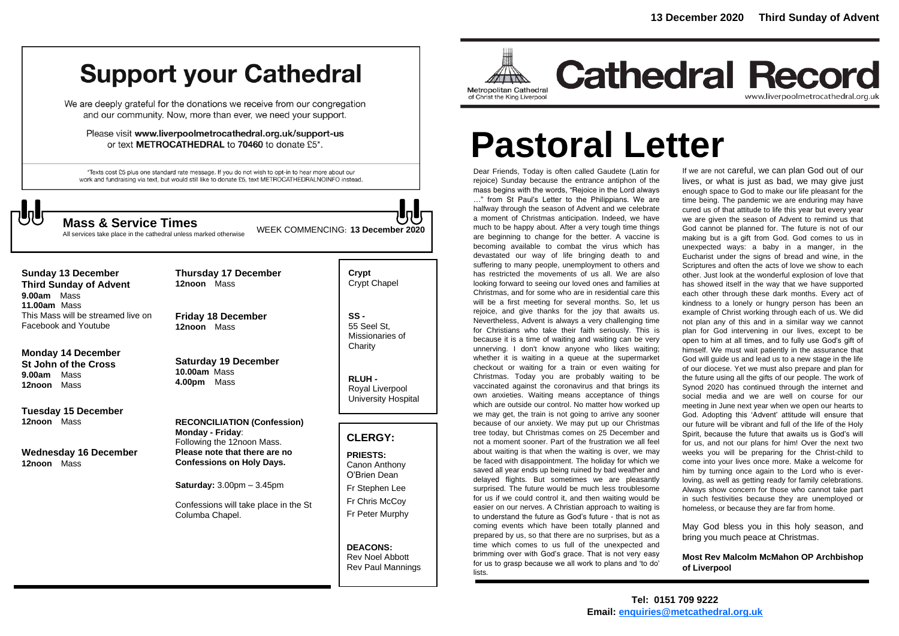## **Support your Cathedral**

We are deeply grateful for the donations we receive from our congregation and our community. Now, more than ever, we need your support.

Please visit www.liverpoolmetrocathedral.org.uk/support-us or text METROCATHEDRAL to 70460 to donate £5\*.

\*Texts cost £5 plus one standard rate message. If you do not wish to opt-in to hear more about our work and fundraising via text, but would still like to donate £5, text METROCATHEDRALNOINFO instead.

WEEK COMMENCING: **<sup>13</sup> December <sup>2020</sup> Mass & Service Times**

All services take place in the cathedral unless marked otherwise

**Sunday 13 December Third Sunday of Advent 9.00am** Mass **11.00am** Mass This Mass will be streamed live on Facebook and Youtube

#### **Monday 14 December St John of the Cross**

**9.00am** Mass **12noon** Mass

**Tuesday 15 December 12noon** Mass

**Wednesday 16 December 12noon** Mass

**Thursday 17 December 12noon** Mass

**Friday 18 December 12noon** Mass

**Saturday 19 December 10.00am** Mass **4.00pm** Mass

**RECONCILIATION (Confession) Monday - Friday**: Following the 12noon Mass. **Please note that there are no Confessions on Holy Days.**

**Saturday:** 3.00pm – 3.45pm

Confessions will take place in the St Columba Chapel.

**Crypt**  Crypt Chapel

**SS -** 55 Seel St, Missionaries of **Charity** 

**RLUH -** Royal Liverpool University Hospital

### **CLERGY:**

**PRIESTS:** Canon Anthony O'Brien *Dean* Fr Stephen Lee Fr Chris McCoy Fr Peter Murphy

**DEACONS:** Rev Noel Abbott Rev Paul Mannings



**Cathedral Record** www.liverpoolmetrocathedral.org.uk

# **Pastoral Letter**

Dear Friends, Today is often called Gaudete (Latin for rejoice) Sunday because the entrance antiphon of the mass begins with the words, "Rejoice in the Lord always …" from St Paul's Letter to the Philippians. We are halfway through the season of Advent and we celebrate a moment of Christmas anticipation. Indeed, we have much to be happy about. After a very tough time things are beginning to change for the better. A vaccine is becoming available to combat the virus which has devastated our way of life bringing death to and suffering to many people, unemployment to others and has restricted the movements of us all. We are also looking forward to seeing our loved ones and families at Christmas, and for some who are in residential care this will be a first meeting for several months. So, let us rejoice, and give thanks for the joy that awaits us. Nevertheless, Advent is always a very challenging time for Christians who take their faith seriously. This is because it is a time of waiting and waiting can be very unnerving. I don't know anyone who likes waiting; whether it is waiting in a queue at the supermarket checkout or waiting for a train or even waiting for Christmas. Today you are probably waiting to be vaccinated against the coronavirus and that brings its own anxieties. Waiting means acceptance of things which are outside our control. No matter how worked up we may get, the train is not going to arrive any sooner because of our anxiety. We may put up our Christmas tree today, but Christmas comes on 25 December and not a moment sooner. Part of the frustration we all feel about waiting is that when the waiting is over, we may be faced with disappointment. The holiday for which we saved all year ends up being ruined by bad weather and delayed flights. But sometimes we are pleasantly surprised. The future would be much less troublesome for us if we could control it, and then waiting would be easier on our nerves. A Christian approach to waiting is to understand the future as God's future - that is not as coming events which have been totally planned and prepared by us, so that there are no surprises, but as a time which comes to us full of the unexpected and brimming over with God's grace. That is not very easy for us to grasp because we all work to plans and 'to do' lists.

If we are not careful, we can plan God out of our lives, or what is just as bad, we may give just enough space to God to make our life pleasant for the time being. The pandemic we are enduring may have cured us of that attitude to life this year but every year we are given the season of Advent to remind us that God cannot be planned for. The future is not of our making but is a gift from God. God comes to us in unexpected ways: a baby in a manger, in the Eucharist under the signs of bread and wine, in the Scriptures and often the acts of love we show to each other. Just look at the wonderful explosion of love that has showed itself in the way that we have supported each other through these dark months. Every act of kindness to a lonely or hungry person has been an example of Christ working through each of us. We did not plan any of this and in a similar way we cannot plan for God intervening in our lives, except to be open to him at all times, and to fully use God's gift of himself. We must wait patiently in the assurance that God will guide us and lead us to a new stage in the life of our diocese. Yet we must also prepare and plan for the future using all the gifts of our people. The work of Synod 2020 has continued through the internet and social media and we are well on course for our meeting in June next year when we open our hearts to God. Adopting this 'Advent' attitude will ensure that our future will be vibrant and full of the life of the Holy Spirit, because the future that awaits us is God's will for us, and not our plans for him! Over the next two weeks you will be preparing for the Christ-child to come into your lives once more. Make a welcome for him by turning once again to the Lord who is everloving, as well as getting ready for family celebrations. Always show concern for those who cannot take part in such festivities because they are unemployed or homeless, or because they are far from home.

May God bless you in this holy season, and bring you much peace at Christmas.

**Most Rev Malcolm McMahon OP Archbishop of Liverpool**